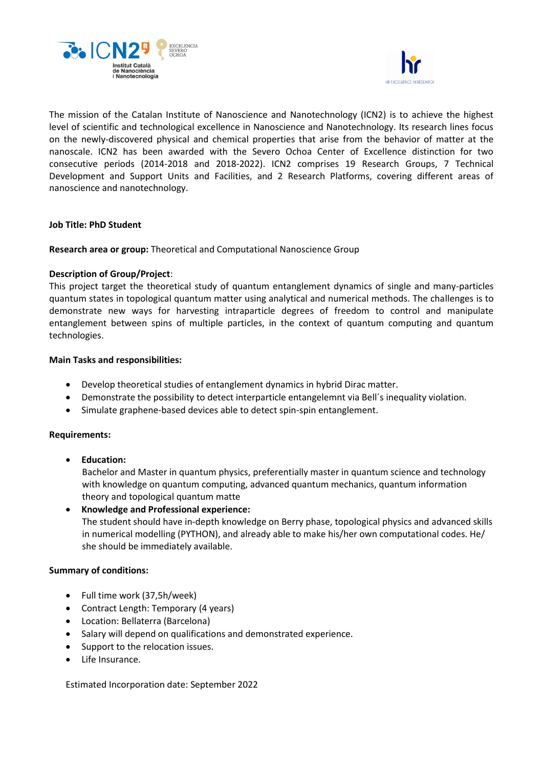



The mission of the Catalan Institute of Nanoscience and Nanotechnology (ICN2) is to achieve the highest level of scientific and technological excellence in Nanoscience and Nanotechnology. Its research lines focus on the newly-discovered physical and chemical properties that arise from the behavior of matter at the nanoscale. ICN2 has been awarded with the Severo Ochoa Center of Excellence distinction for two consecutive periods (2014-2018 and 2018-2022). ICN2 comprises 19 Research Groups, 7 Technical Development and Support Units and Facilities, and 2 Research Platforms, covering different areas of nanoscience and nanotechnology.

### **Job Title: PhD Student**

**Research area or group:** Theoretical and Computational Nanoscience Group

# **Description of Group/Project**:

This project target the theoretical study of quantum entanglement dynamics of single and many-particles quantum states in topological quantum matter using analytical and numerical methods. The challenges is to demonstrate new ways for harvesting intraparticle degrees of freedom to control and manipulate entanglement between spins of multiple particles, in the context of quantum computing and quantum technologies.

# **Main Tasks and responsibilities:**

- Develop theoretical studies of entanglement dynamics in hybrid Dirac matter.
- Demonstrate the possibility to detect interparticle entangelemnt via Bell´s inequality violation.
- Simulate graphene-based devices able to detect spin-spin entanglement.

### **Requirements:**

• **Education:**

Bachelor and Master in quantum physics, preferentially master in quantum science and technology with knowledge on quantum computing, advanced quantum mechanics, quantum information theory and topological quantum matte

• **Knowledge and Professional experience:**

The student should have in-depth knowledge on Berry phase, topological physics and advanced skills in numerical modelling (PYTHON), and already able to make his/her own computational codes. He/ she should be immediately available.

### **Summary of conditions:**

- Full time work (37,5h/week)
- Contract Length: Temporary (4 years)
- Location: Bellaterra (Barcelona)
- Salary will depend on qualifications and demonstrated experience.
- Support to the relocation issues.
- Life Insurance.

Estimated Incorporation date: September 2022